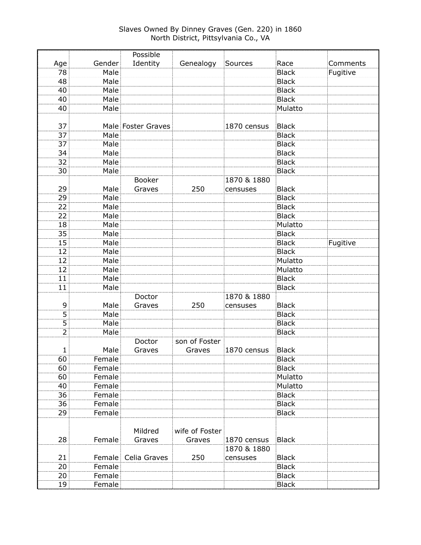|                |        | Possible            |                |             |              |          |
|----------------|--------|---------------------|----------------|-------------|--------------|----------|
| Age            | Gender | Identity            | Genealogy      | Sources     | Race         | Comments |
| 78             | Male   |                     |                |             | <b>Black</b> | Fugitive |
| 48             | Male   |                     |                |             | <b>Black</b> |          |
| 40             | Male   |                     |                |             | <b>Black</b> |          |
| 40             | Male   |                     |                |             | <b>Black</b> |          |
| 40             | Male   |                     |                |             | Mulatto      |          |
|                |        |                     |                |             |              |          |
| 37             |        | Male Foster Graves  |                | 1870 census | <b>Black</b> |          |
| 37             | Male   |                     |                |             | <b>Black</b> |          |
| 37             | Male   |                     |                |             | <b>Black</b> |          |
| 34             | Male   |                     |                |             | <b>Black</b> |          |
| 32             | Male   |                     |                |             | <b>Black</b> |          |
| 30             | Male   |                     |                |             | <b>Black</b> |          |
|                |        | <b>Booker</b>       |                | 1870 & 1880 |              |          |
| 29             | Male   | Graves              | 250            | censuses    | <b>Black</b> |          |
| 29             | Male   |                     |                |             | <b>Black</b> |          |
| 22             | Male   |                     |                |             | <b>Black</b> |          |
| 22             | Male   |                     |                |             | <b>Black</b> |          |
| 18             | Male   |                     |                |             | Mulatto      |          |
| 35             | Male   |                     |                |             | <b>Black</b> |          |
| 15             | Male   |                     |                |             | <b>Black</b> | Fugitive |
| 12             | Male   |                     |                |             | <b>Black</b> |          |
| 12             | Male   |                     |                |             | Mulatto      |          |
| 12             | Male   |                     |                |             | Mulatto      |          |
| 11             | Male   |                     |                |             | <b>Black</b> |          |
| 11             | Male   |                     |                |             | <b>Black</b> |          |
|                |        | Doctor              |                | 1870 & 1880 |              |          |
| 9              | Male   | Graves              | 250            | censuses    | <b>Black</b> |          |
| $\overline{5}$ | Male   |                     |                |             | <b>Black</b> |          |
| $\overline{5}$ | Male   |                     |                |             | <b>Black</b> |          |
| $\overline{2}$ | Male   |                     |                |             | <b>Black</b> |          |
|                |        | Doctor              | son of Foster  |             |              |          |
| 1              | Male   | Graves              | Graves         | 1870 census | <b>Black</b> |          |
| 60             | Female |                     |                |             | <b>Black</b> |          |
| 60             | Female |                     |                |             | <b>Black</b> |          |
| 60             | Female |                     |                |             | Mulatto      |          |
| 40             | Female |                     |                |             | Mulatto      |          |
| 36             | Female |                     |                |             | <b>Black</b> |          |
| 36             | Female |                     |                |             | <b>Black</b> |          |
| 29             | Female |                     |                |             | <b>Black</b> |          |
|                |        |                     |                |             |              |          |
|                |        | Mildred             | wife of Foster |             |              |          |
| 28             | Female | Graves              | Graves         | 1870 census | <b>Black</b> |          |
|                |        |                     |                | 1870 & 1880 |              |          |
| 21             |        | Female Celia Graves | 250            | censuses    | <b>Black</b> |          |
| 20             | Female |                     |                |             | <b>Black</b> |          |
| 20             | Female |                     |                |             | <b>Black</b> |          |
| 19             | Female |                     |                |             | <b>Black</b> |          |